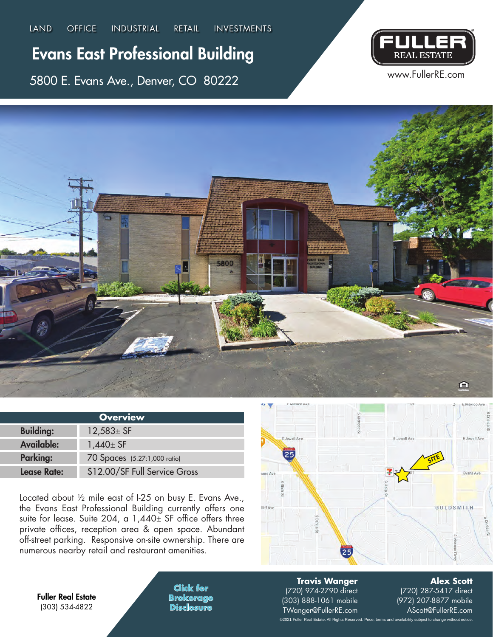Evans East Professional Building

5800 E. Evans Ave., Denver, CO 80222



www.FullerRE.com



| <b>Overview</b>    |                               |
|--------------------|-------------------------------|
| <b>Building:</b>   | $12,583 \pm 5F$               |
| <b>Available:</b>  | 1,440 $\pm$ SF                |
| <b>Parking:</b>    | 70 Spaces (5.27:1,000 ratio)  |
| <b>Lease Rate:</b> | \$12.00/SF Full Service Gross |

Located about ½ mile east of I-25 on busy E. Evans Ave., the Evans East Professional Building currently offers one suite for lease. Suite 204, a  $1,440<sub>\pm</sub>$  SF office offers three private offices, reception area & open space. Abundant off-street parking. Responsive on-site ownership. There are numerous nearby retail and restaurant amenities.



Fuller Real Estate (303) 534-4822

**Click for Brokerage Disclosure**

**Travis Wanger**  (720) 974-2790 direct (303) 888-1061 mobile TWanger@FullerRE.com ©2021 Fuller Real Estate. All Rights Reserved. Price, terms and availability subject to change without notice.

**Alex Scott** (720) 287-5417 direct (972) 207-8877 mobile AScott@FullerRE.com